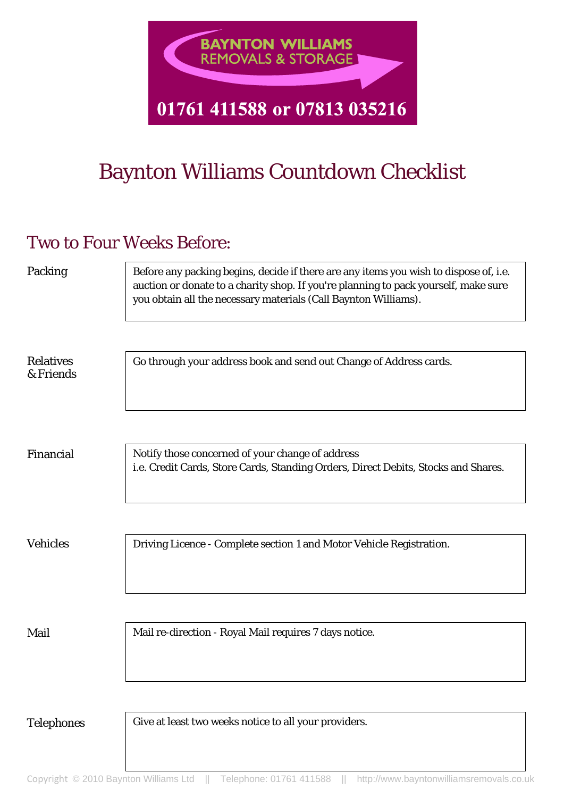

## Baynton Williams Countdown Checklist

#### Two to Four Weeks Before:

Packing

Before any packing begins, decide if there are any items you wish to dispose of, i.e. auction or donate to a charity shop. If you're planning to pack yourself, make sure you obtain all the necessary materials (Call Baynton Williams).

Relatives & Friends Go through your address book and send out Change of Address cards.

Financial

Notify those concerned of your change of address i.e. Credit Cards, Store Cards, Standing Orders, Direct Debits, Stocks and Shares.

Vehicles

Driving Licence - Complete section 1 and Motor Vehicle Registration.

Mail

Mail re-direction - Royal Mail requires 7 days notice.

Telephones

Give at least two weeks notice to all your providers.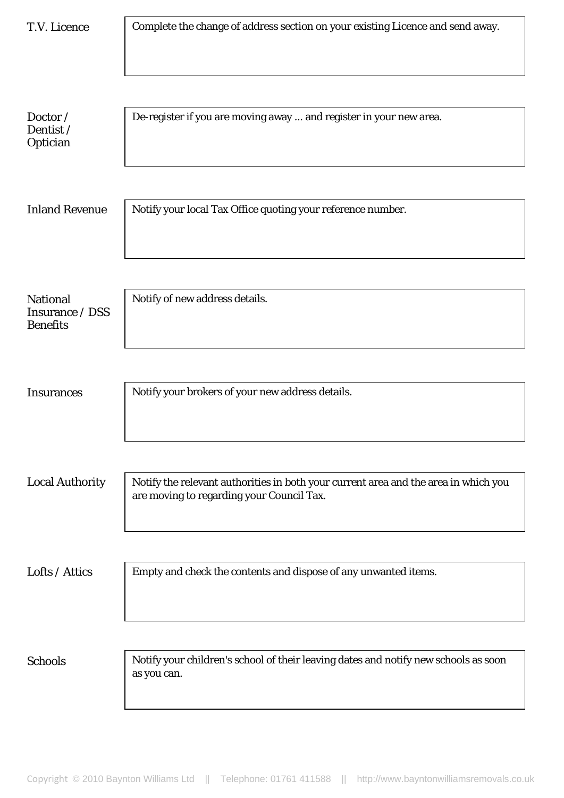| T.V. Licence                                          | Complete the change of address section on your existing Licence and send away.                                                   |
|-------------------------------------------------------|----------------------------------------------------------------------------------------------------------------------------------|
| Doctor /<br>Dentist /<br>Optician                     | De-register if you are moving away  and register in your new area.                                                               |
| <b>Inland Revenue</b>                                 | Notify your local Tax Office quoting your reference number.                                                                      |
| <b>National</b><br>Insurance / DSS<br><b>Benefits</b> | Notify of new address details.                                                                                                   |
| <b>Insurances</b>                                     | Notify your brokers of your new address details.                                                                                 |
| <b>Local Authority</b>                                | Notify the relevant authorities in both your current area and the area in which you<br>are moving to regarding your Council Tax. |
| Lofts / Attics                                        | Empty and check the contents and dispose of any unwanted items.                                                                  |
| <b>Schools</b>                                        | Notify your children's school of their leaving dates and notify new schools as soon<br>as you can.                               |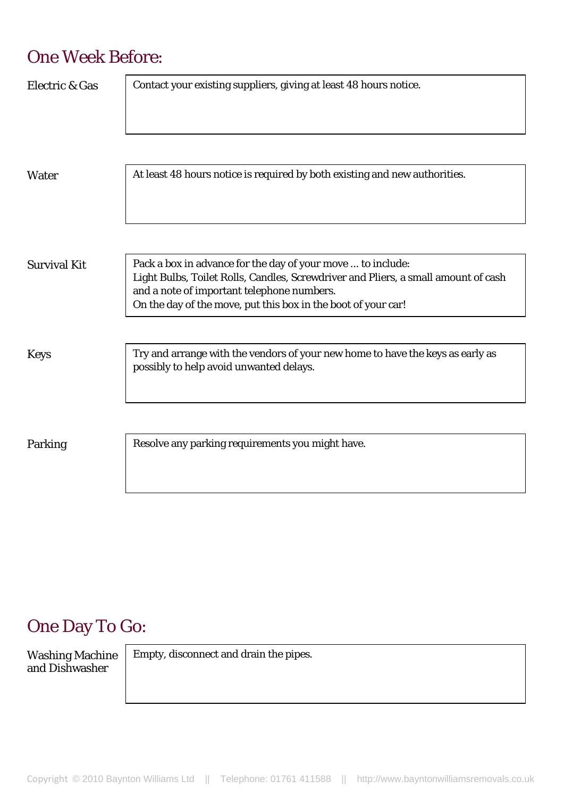#### One Week Before:

| Electric & Gas      | Contact your existing suppliers, giving at least 48 hours notice.                                                                                                                                                                                                |
|---------------------|------------------------------------------------------------------------------------------------------------------------------------------------------------------------------------------------------------------------------------------------------------------|
| <b>Water</b>        | At least 48 hours notice is required by both existing and new authorities.                                                                                                                                                                                       |
| <b>Survival Kit</b> | Pack a box in advance for the day of your move  to include:<br>Light Bulbs, Toilet Rolls, Candles, Screwdriver and Pliers, a small amount of cash<br>and a note of important telephone numbers.<br>On the day of the move, put this box in the boot of your car! |
| <b>Keys</b>         | Try and arrange with the vendors of your new home to have the keys as early as<br>possibly to help avoid unwanted delays.                                                                                                                                        |
| Parking             | Resolve any parking requirements you might have.                                                                                                                                                                                                                 |

#### One Day To Go:

Washing Machine and Dishwasher

Empty, disconnect and drain the pipes.